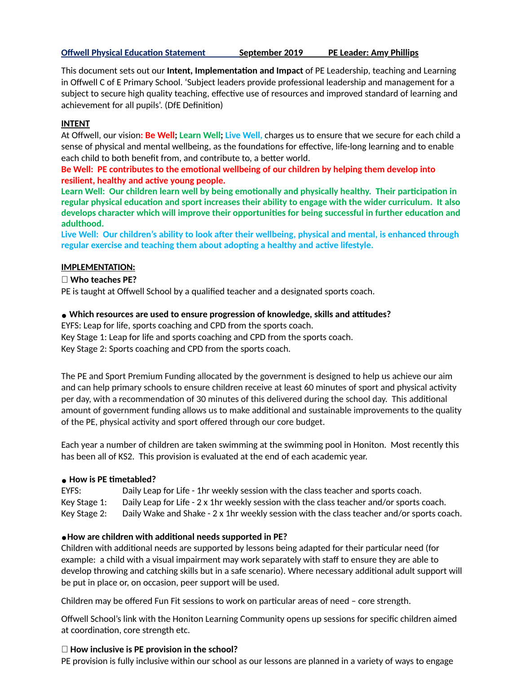### **Offwell Physical Education Statement September 2019 PE Leader: Amy Phillips**

This document sets out our **Intent, Implementation and Impact** of PE Leadership, teaching and Learning in Offwell C of E Primary School. 'Subject leaders provide professional leadership and management for a subject to secure high quality teaching, effective use of resources and improved standard of learning and achievement for all pupils'. (DfE Definition)

## **INTENT**

At Offwell, our vision**: Be Well; Learn Well; Live Well,** charges us to ensure that we secure for each child a sense of physical and mental wellbeing, as the foundations for effective, life-long learning and to enable each child to both benefit from, and contribute to, a better world.

**Be Well: PE contributes to the emoonal wellbeing of our children by helping them develop into resilient, healthy and active young people.** 

**Learn Well: Our children learn well by being emoonally and physically healthy. Their parcipaon in regular physical educaon and sport increases their ability to engage with the wider curriculum. It also develops character which will improve their opportunies for being successful in further educaon and adulthood.**

**Live Well: Our children's ability to look aer their wellbeing, physical and mental, is enhanced through regular exercise and teaching them about adopng a healthy and acve lifestyle.**

## **IMPLEMENTATION:**

## **Who teaches PE?**

PE is taught at Offwell School by a qualified teacher and a designated sports coach.

## **● Which resources are used to ensure progression of knowledge, skills and atudes?**

EYFS: Leap for life, sports coaching and CPD from the sports coach. Key Stage 1: Leap for life and sports coaching and CPD from the sports coach. Key Stage 2: Sports coaching and CPD from the sports coach.

The PE and Sport Premium Funding allocated by the government is designed to help us achieve our aim and can help primary schools to ensure children receive at least 60 minutes of sport and physical activity per day, with a recommendation of 30 minutes of this delivered during the school day. This additional amount of government funding allows us to make additional and sustainable improvements to the quality of the PE, physical activity and sport offered through our core budget.

Each year a number of children are taken swimming at the swimming pool in Honiton. Most recently this has been all of KS2. This provision is evaluated at the end of each academic year.

## **● How is PE metabled?**

EYFS: Daily Leap for Life - 1hr weekly session with the class teacher and sports coach. Key Stage 1: Daily Leap for Life - 2 x 1hr weekly session with the class teacher and/or sports coach. Key Stage 2: Daily Wake and Shake - 2 x 1hr weekly session with the class teacher and/or sports coach.

## **●How are children with addional needs supported in PE?**

Children with additional needs are supported by lessons being adapted for their particular need (for example: a child with a visual impairment may work separately with staff to ensure they are able to develop throwing and catching skills but in a safe scenario). Where necessary additional adult support will be put in place or, on occasion, peer support will be used.

Children may be offered Fun Fit sessions to work on particular areas of need – core strength.

Offwell School's link with the Honiton Learning Community opens up sessions for specific children aimed at coordination, core strength etc.

## **How inclusive is PE provision in the school?**

PE provision is fully inclusive within our school as our lessons are planned in a variety of ways to engage